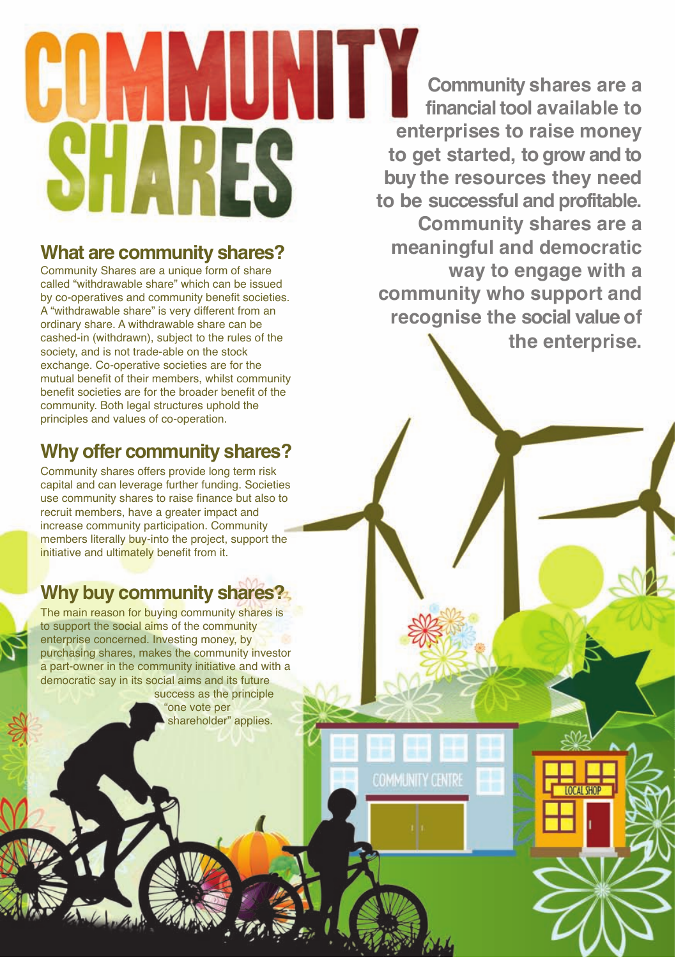## MMUNITY KK.

## **What are community shares?**

Community Shares are a unique form of share called "withdrawable share" which can be issued by co-operatives and community benefit societies. A "withdrawable share" is very different from an ordinary share. A withdrawable share can be cashed-in (withdrawn), subject to the rules of the society, and is not trade-able on the stock exchange. Co-operative societies are for the mutual benefit of their members, whilst community benefit societies are for the broader benefit of the community. Both legal structures uphold the principles and values of co-operation.

## **Why offer community shares?**

Community shares offers provide long term risk capital and can leverage further funding. Societies use community shares to raise finance but also to recruit members, have a greater impact and increase community participation. Community members literally buy-into the project, support the initiative and ultimately benefit from it.

## **Why buy community shares?**

The main reason for buying community shares is to support the social aims of the community enterprise concerned. Investing money, by purchasing shares, makes the community investor a part-owner in the community initiative and with a democratic say in its social aims and its future success as the principle

"one vote per shareholder" applies.

**Community shares are a financial tool available to enterprises to raise money to get started, to grow and to buy the resources they need to be successful and profitable. Community shares are a meaningful and democratic way to engage with a community who support and recognise the social value of the enterprise.**

**COMMUNITY CENTRE**